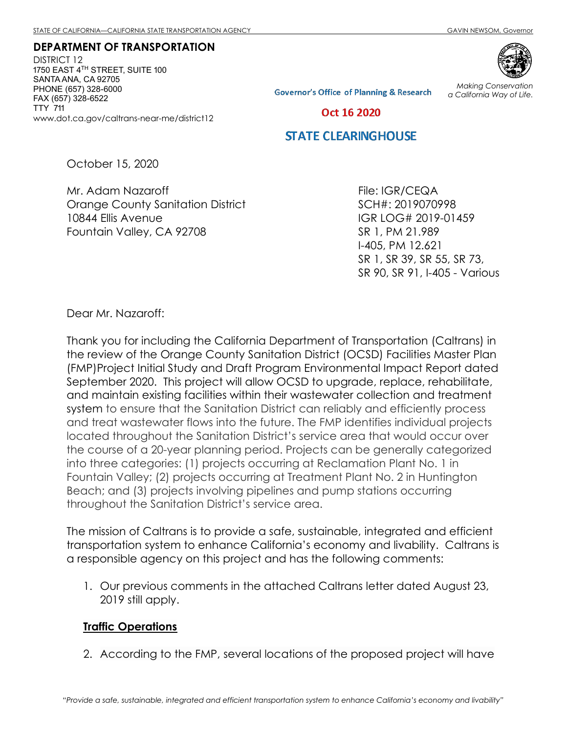DEPARTMENT OF TRANSPORTATION DISTRICT 12 1750 EAST 4 $^{TH}$  STREET, SUITE 100 SANTA ANA, CA 92705 PHONE (657) 328-6000 FAX (657) 328-6522 TTY 711 www.dot.ca.gov/caltrans-near-me/district12



**Governor's Office of Planning & Research** 

Making Conservation a California Way of Life.

Oct 16 2020

# **STATE CLEARINGHOUSE**

October 15, 2020

Mr. Adam Nazaroff Orange County Sanitation District 10844 Ellis Avenue Fountain Valley, CA 92708

File: IGR/CEQA SCH#: 2019070998 IGR LOG# 2019-01459 SR 1, PM 21.989 I-405, PM 12.621 SR 1, SR 39, SR 55, SR 73, SR 90, SR 91, I-405 - Various

Dear Mr. Nazaroff:

Thank you for including the California Department of Transportation (Caltrans) in the review of the Orange County Sanitation District (OCSD) Facilities Master Plan (FMP)Project Initial Study and Draft Program Environmental Impact Report dated September 2020. This project will allow OCSD to upgrade, replace, rehabilitate, and maintain existing facilities within their wastewater collection and treatment system to ensure that the Sanitation District can reliably and efficiently process and treat wastewater flows into the future. The FMP identifies individual projects located throughout the Sanitation District's service area that would occur over the course of a 20-year planning period. Projects can be generally categorized into three categories: (1) projects occurring at Reclamation Plant No. 1 in Fountain Valley; (2) projects occurring at Treatment Plant No. 2 in Huntington Beach; and (3) projects involving pipelines and pump stations occurring throughout the Sanitation District's service area.

The mission of Caltrans is to provide a safe, sustainable, integrated and efficient transportation system to enhance California's economy and livability. Caltrans is a responsible agency on this project and has the following comments:

1. Our previous comments in the attached Caltrans letter dated August 23, 2019 still apply.

#### Traffic Operations

2. According to the FMP, several locations of the proposed project will have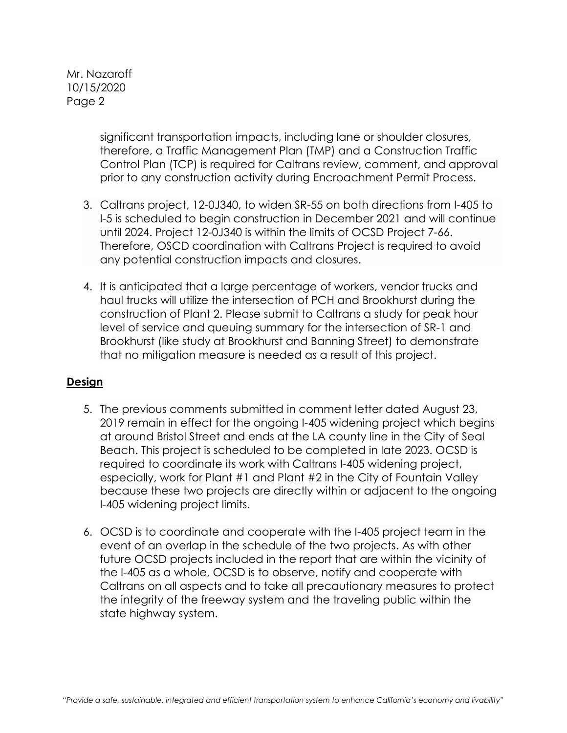Mr. Nazaroff 10/15/2020 Page 2

> significant transportation impacts, including lane or shoulder closures, therefore, a Traffic Management Plan (TMP) and a Construction Traffic Control Plan (TCP) is required for Caltrans review, comment, and approval prior to any construction activity during Encroachment Permit Process.

- 3. Caltrans project, 12-0J340, to widen SR-55 on both directions from I-405 to I-5 is scheduled to begin construction in December 2021 and will continue until 2024. Project 12-0J340 is within the limits of OCSD Project 7-66. Therefore, OSCD coordination with Caltrans Project is required to avoid any potential construction impacts and closures.
- 4. It is anticipated that a large percentage of workers, vendor trucks and haul trucks will utilize the intersection of PCH and Brookhurst during the construction of Plant 2. Please submit to Caltrans a study for peak hour level of service and queuing summary for the intersection of SR-1 and Brookhurst (like study at Brookhurst and Banning Street) to demonstrate that no mitigation measure is needed as a result of this project.

# Design

- 5. The previous comments submitted in comment letter dated August 23, 2019 remain in effect for the ongoing I-405 widening project which begins at around Bristol Street and ends at the LA county line in the City of Seal Beach. This project is scheduled to be completed in late 2023. OCSD is required to coordinate its work with Caltrans I-405 widening project, especially, work for Plant #1 and Plant #2 in the City of Fountain Valley because these two projects are directly within or adjacent to the ongoing I-405 widening project limits.
- 6. OCSD is to coordinate and cooperate with the I-405 project team in the event of an overlap in the schedule of the two projects. As with other future OCSD projects included in the report that are within the vicinity of the I-405 as a whole, OCSD is to observe, notify and cooperate with Caltrans on all aspects and to take all precautionary measures to protect the integrity of the freeway system and the traveling public within the state highway system.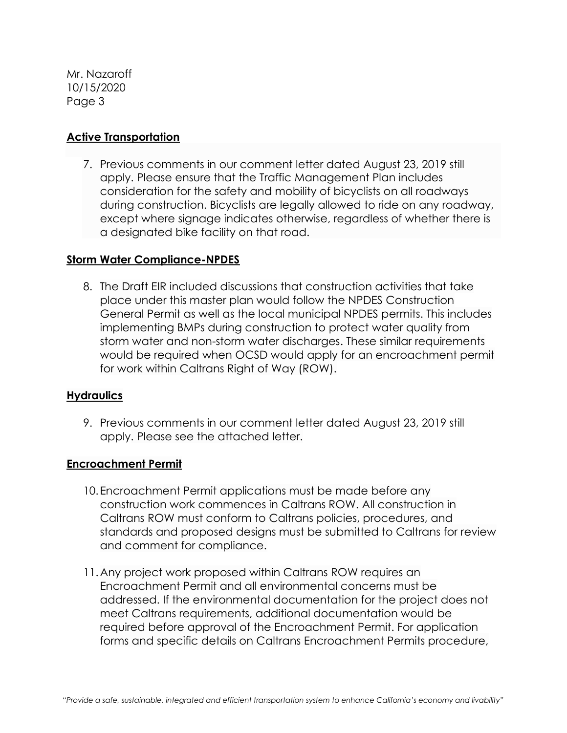Mr. Nazaroff 10/15/2020 Page 3

# Active Transportation

7. Previous comments in our comment letter dated August 23, 2019 still apply. Please ensure that the Traffic Management Plan includes consideration for the safety and mobility of bicyclists on all roadways during construction. Bicyclists are legally allowed to ride on any roadway, except where signage indicates otherwise, regardless of whether there is a designated bike facility on that road.

# Storm Water Compliance-NPDES

8. The Draft EIR included discussions that construction activities that take place under this master plan would follow the NPDES Construction General Permit as well as the local municipal NPDES permits. This includes implementing BMPs during construction to protect water quality from storm water and non-storm water discharges. These similar requirements would be required when OCSD would apply for an encroachment permit for work within Caltrans Right of Way (ROW).

# **Hydraulics**

9. Previous comments in our comment letter dated August 23, 2019 still apply. Please see the attached letter.

# Encroachment Permit

- 10.Encroachment Permit applications must be made before any construction work commences in Caltrans ROW. All construction in Caltrans ROW must conform to Caltrans policies, procedures, and standards and proposed designs must be submitted to Caltrans for review and comment for compliance.
- 11.Any project work proposed within Caltrans ROW requires an Encroachment Permit and all environmental concerns must be addressed. If the environmental documentation for the project does not meet Caltrans requirements, additional documentation would be required before approval of the Encroachment Permit. For application forms and specific details on Caltrans Encroachment Permits procedure,